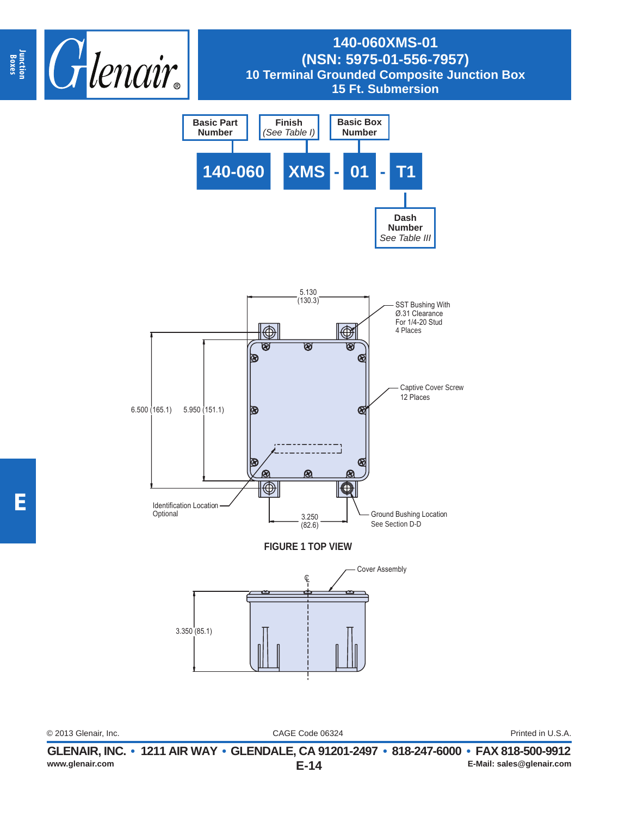

## **140-060XMS-01 (NSN: 5975-01-556-7957) 10 Terminal Grounded Composite Junction Box 15 Ft. Submersion**



3.350 (85.1)

CAGE Code 06324 © 2013 Glenair, Inc. Printed in U.S.A.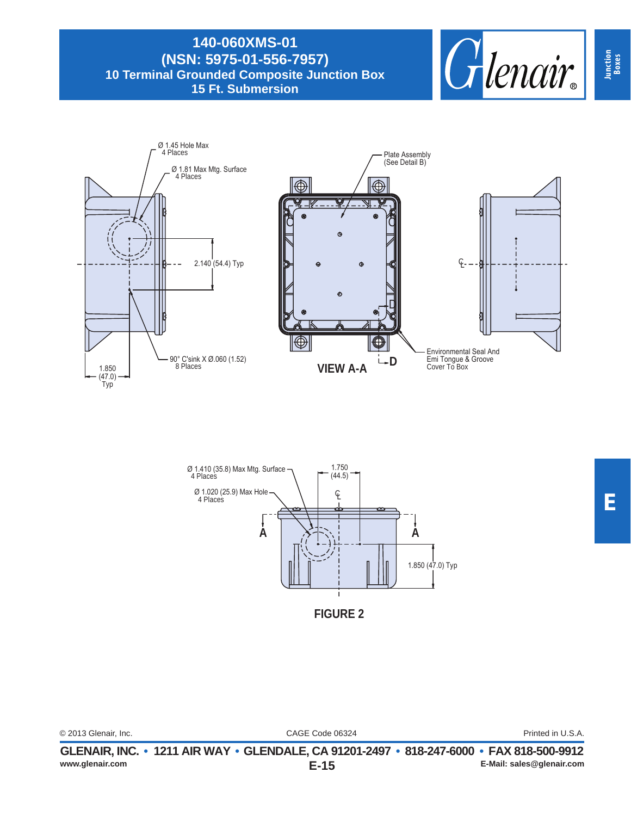**140-060XMS-01 (NSN: 5975-01-556-7957) 10 Terminal Grounded Composite Junction Box 15 Ft. Submersion**







**FIGURE 2**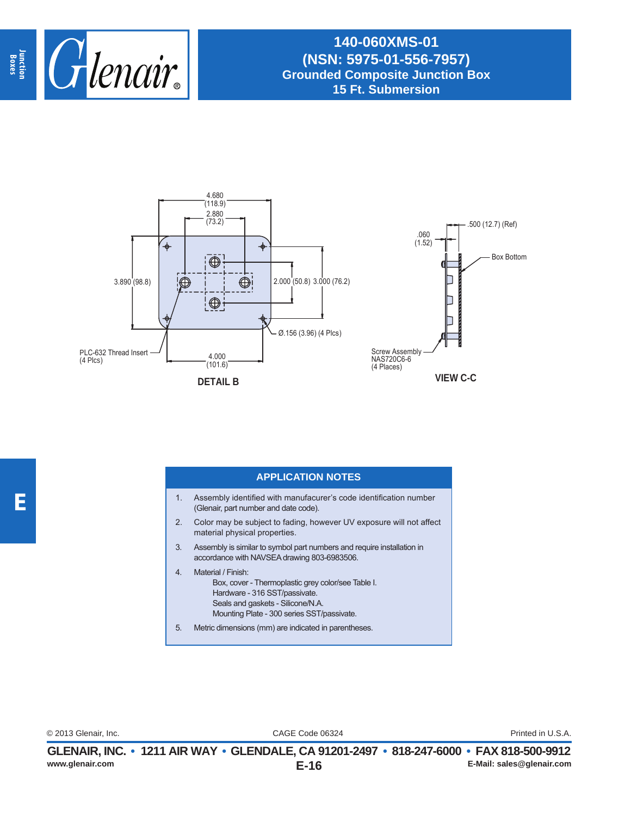

## **140-060XMS-01 (NSN: 5975-01-556-7957) Grounded Composite Junction Box 15 Ft. Submersion**



## **APPLICATION NOTES**

- 1. Assembly identified with manufacurer's code identification number (Glenair, part number and date code).
- 2. Color may be subject to fading, however UV exposure will not affect material physical properties.
- 3. Assembly is similar to symbol part numbers and require installation in accordance with NAVSEA drawing 803-6983506.
- 4. Material / Finish: Box, cover - Thermoplastic grey color/see Table I. Hardware - 316 SST/passivate. Seals and gaskets - Silicone/N.A. Mounting Plate - 300 series SST/passivate.
- 5. Metric dimensions (mm) are indicated in parentheses.

CAGE Code 06324 © 2013 Glenair, Inc. Printed in U.S.A.